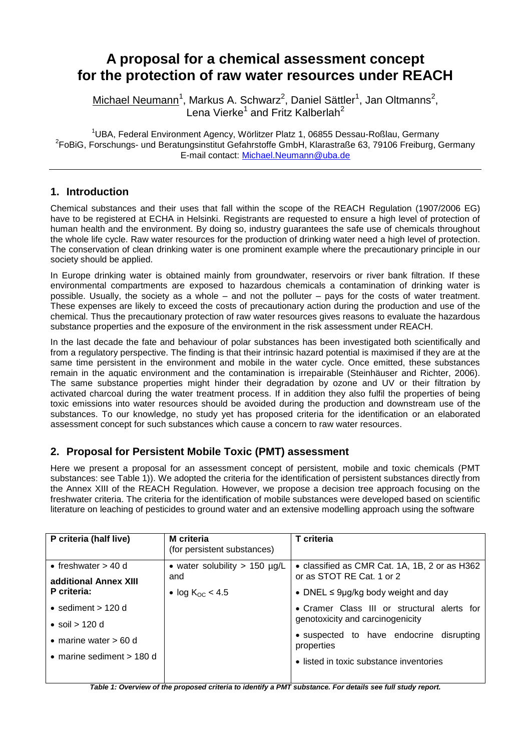# **A proposal for a chemical assessment concept for the protection of raw water resources under REACH**

Michael Neumann<sup>1</sup>, Markus A. Schwarz<sup>2</sup>, Daniel Sättler<sup>1</sup>, Jan Oltmanns<sup>2</sup>, Lena Vierke<sup>1</sup> and Fritz Kalberlah<sup>2</sup>

<sup>1</sup>UBA, Federal Environment Agency, Wörlitzer Platz 1, 06855 Dessau-Roßlau, Germany <sup>2</sup>FoBiG, Forschungs- und Beratungsinstitut Gefahrstoffe GmbH, Klarastraße 63, 79106 Freiburg, Germany E-mail contact: [Michael.Neumann@uba.de](mailto:Michael.Neumann@uba.de)

## **1. Introduction**

Chemical substances and their uses that fall within the scope of the REACH Regulation (1907/2006 EG) have to be registered at ECHA in Helsinki. Registrants are requested to ensure a high level of protection of human health and the environment. By doing so, industry guarantees the safe use of chemicals throughout the whole life cycle. Raw water resources for the production of drinking water need a high level of protection. The conservation of clean drinking water is one prominent example where the precautionary principle in our society should be applied.

In Europe drinking water is obtained mainly from groundwater, reservoirs or river bank filtration. If these environmental compartments are exposed to hazardous chemicals a contamination of drinking water is possible. Usually, the society as a whole – and not the polluter – pays for the costs of water treatment. These expenses are likely to exceed the costs of precautionary action during the production and use of the chemical. Thus the precautionary protection of raw water resources gives reasons to evaluate the hazardous substance properties and the exposure of the environment in the risk assessment under REACH.

In the last decade the fate and behaviour of polar substances has been investigated both scientifically and from a regulatory perspective. The finding is that their intrinsic hazard potential is maximised if they are at the same time persistent in the environment and mobile in the water cycle. Once emitted, these substances remain in the aquatic environment and the contamination is irrepairable (Steinhäuser and Richter, 2006). The same substance properties might hinder their degradation by ozone and UV or their filtration by activated charcoal during the water treatment process. If in addition they also fulfil the properties of being toxic emissions into water resources should be avoided during the production and downstream use of the substances. To our knowledge, no study yet has proposed criteria for the identification or an elaborated assessment concept for such substances which cause a concern to raw water resources.

## **2. Proposal for Persistent Mobile Toxic (PMT) assessment**

Here we present a proposal for an assessment concept of persistent, mobile and toxic chemicals (PMT substances: see Table 1)). We adopted the criteria for the identification of persistent substances directly from the Annex XIII of the REACH Regulation. However, we propose a decision tree approach focusing on the freshwater criteria. The criteria for the identification of mobile substances were developed based on scientific literature on leaching of pesticides to ground water and an extensive modelling approach using the software

| P criteria (half live)      | <b>M</b> criteria<br>(for persistent substances) | T criteria                                                                 |
|-----------------------------|--------------------------------------------------|----------------------------------------------------------------------------|
| • freshwater $> 40$ d       | • water solubility > 150 $\mu$ g/L<br>and        | • classified as CMR Cat. 1A, 1B, 2 or as H362<br>or as STOT RE Cat. 1 or 2 |
| additional Annex XIII       |                                                  |                                                                            |
| P criteria:                 | • log $K_{OC}$ < 4.5                             | • DNEL $\leq$ 9µg/kg body weight and day                                   |
| • sediment $> 120$ d        |                                                  | • Cramer Class III or structural alerts for                                |
| • soil > 120 d              |                                                  | genotoxicity and carcinogenicity                                           |
| • marine water $> 60$ d     |                                                  | • suspected to have endocrine disrupting<br>properties                     |
| • marine sediment $> 180$ d |                                                  | • listed in toxic substance inventories                                    |

*Table 1: Overview of the proposed criteria to identify a PMT substance. For details see full study report.*